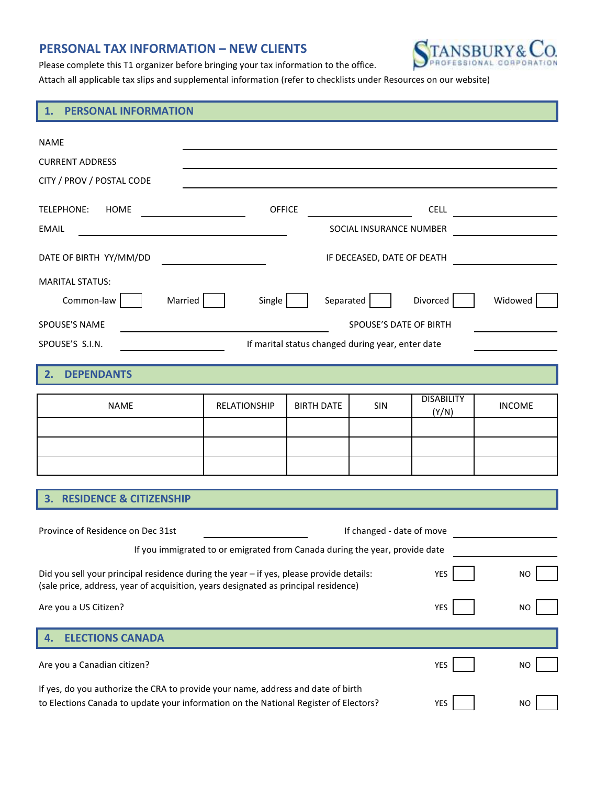## **PERSONAL TAX INFORMATION – NEW CLIENTS**



Please complete this T1 organizer before bringing your tax information to the office.

Attach all applicable tax slips and supplemental information (refer to checklists under Resources on our website)

## **1. PERSONAL INFORMATION**

| NAME                                                                                                                                                                                     |                                                   |                   |                         |                            |                      |  |
|------------------------------------------------------------------------------------------------------------------------------------------------------------------------------------------|---------------------------------------------------|-------------------|-------------------------|----------------------------|----------------------|--|
| <b>CURRENT ADDRESS</b>                                                                                                                                                                   |                                                   |                   |                         |                            |                      |  |
| CITY / PROV / POSTAL CODE                                                                                                                                                                |                                                   |                   |                         |                            |                      |  |
| TELEPHONE: HOME                                                                                                                                                                          | <b>OFFICE</b>                                     |                   |                         |                            | CELL $\qquad \qquad$ |  |
| <b>EMAIL</b><br><u> 1989 - Johann Stein, fransk politik (f. 1989)</u>                                                                                                                    |                                                   |                   | SOCIAL INSURANCE NUMBER |                            |                      |  |
| DATE OF BIRTH YY/MM/DD                                                                                                                                                                   | <u> 1980 - Johann Barbara, martxa a</u>           |                   |                         |                            |                      |  |
| <b>MARITAL STATUS:</b>                                                                                                                                                                   |                                                   |                   |                         |                            |                      |  |
| Married<br>Common-law                                                                                                                                                                    | Single                                            | Separated         |                         | Divorced                   | Widowed              |  |
| SPOUSE'S NAME<br>SPOUSE'S DATE OF BIRTH                                                                                                                                                  |                                                   |                   |                         |                            |                      |  |
| SPOUSE'S S.I.N.                                                                                                                                                                          | If marital status changed during year, enter date |                   |                         |                            |                      |  |
|                                                                                                                                                                                          |                                                   |                   |                         |                            |                      |  |
| <b>DEPENDANTS</b><br>2.                                                                                                                                                                  |                                                   |                   |                         |                            |                      |  |
| <b>NAME</b>                                                                                                                                                                              | RELATIONSHIP                                      | <b>BIRTH DATE</b> | <b>SIN</b>              | <b>DISABILITY</b><br>(Y/N) | <b>INCOME</b>        |  |
|                                                                                                                                                                                          |                                                   |                   |                         |                            |                      |  |
|                                                                                                                                                                                          |                                                   |                   |                         |                            |                      |  |
|                                                                                                                                                                                          |                                                   |                   |                         |                            |                      |  |
|                                                                                                                                                                                          |                                                   |                   |                         |                            |                      |  |
| 3. RESIDENCE & CITIZENSHIP                                                                                                                                                               |                                                   |                   |                         |                            |                      |  |
| Province of Residence on Dec 31st<br>If changed - date of move                                                                                                                           |                                                   |                   |                         |                            |                      |  |
| If you immigrated to or emigrated from Canada during the year, provide date                                                                                                              |                                                   |                   |                         |                            |                      |  |
| Did you sell your principal residence during the year - if yes, please provide details: YES<br>NO<br>(sale price, address, year of acquisition, years designated as principal residence) |                                                   |                   |                         |                            |                      |  |
| Are you a US Citizen?                                                                                                                                                                    |                                                   |                   |                         | YES                        | <b>NO</b>            |  |
|                                                                                                                                                                                          |                                                   |                   |                         |                            |                      |  |
| <b>ELECTIONS CANADA</b><br>4.                                                                                                                                                            |                                                   |                   |                         |                            |                      |  |
| Are you a Canadian citizen?                                                                                                                                                              |                                                   |                   |                         | <b>YES</b>                 | <b>NO</b>            |  |
| If yes, do you authorize the CRA to provide your name, address and date of birth<br>to Elections Canada to update your information on the National Register of Electors?                 |                                                   |                   |                         | YES                        | NO                   |  |